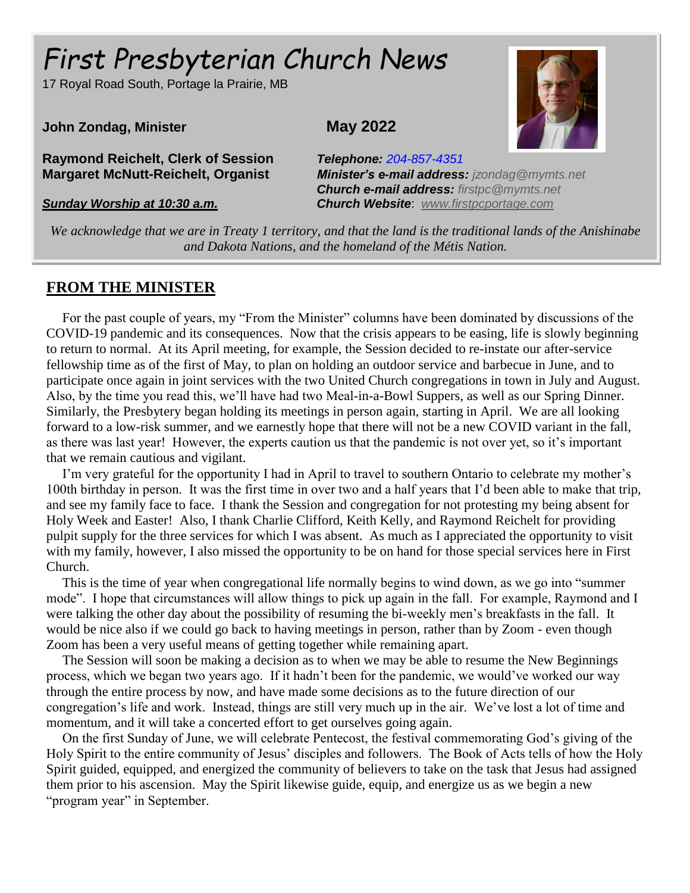# *First Presbyterian Church NEWS* Page 1 *First Presbyterian Church News*

17 Royal Road South, Portage la Prairie, MB

#### **John Zondag, Minister May 2022**

**Raymond Reichelt, Clerk of Session** *Telephone: 204-857-4351*

**Margaret McNutt-Reichelt, Organist** *Minister's e-mail address: [jzondag@mymts.net](mailto:jzondag@mymts.net) Church e-mail address: [firstpc@mymts.net](mailto:firstpc@mymts.net) Sunday Worship at 10:30 a.m. Church Website*: *[www.firstpcportage.com](http://www.firstpcportage.com/)*

*We acknowledge that we are in Treaty 1 territory, and that the land is the traditional lands of the Anishinabe and Dakota Nations, and the homeland of the Métis Nation.*

## **FROM THE MINISTER**

Ï

For the past couple of years, my "From the Minister" columns have been dominated by discussions of the COVID-19 pandemic and its consequences. Now that the crisis appears to be easing, life is slowly beginning to return to normal. At its April meeting, for example, the Session decided to re-instate our after-service fellowship time as of the first of May, to plan on holding an outdoor service and barbecue in June, and to participate once again in joint services with the two United Church congregations in town in July and August. Also, by the time you read this, we'll have had two Meal-in-a-Bowl Suppers, as well as our Spring Dinner. Similarly, the Presbytery began holding its meetings in person again, starting in April. We are all looking forward to a low-risk summer, and we earnestly hope that there will not be a new COVID variant in the fall, as there was last year! However, the experts caution us that the pandemic is not over yet, so it's important that we remain cautious and vigilant.

I'm very grateful for the opportunity I had in April to travel to southern Ontario to celebrate my mother's 100th birthday in person. It was the first time in over two and a half years that I'd been able to make that trip, and see my family face to face. I thank the Session and congregation for not protesting my being absent for Holy Week and Easter! Also, I thank Charlie Clifford, Keith Kelly, and Raymond Reichelt for providing pulpit supply for the three services for which I was absent. As much as I appreciated the opportunity to visit with my family, however, I also missed the opportunity to be on hand for those special services here in First Church.

This is the time of year when congregational life normally begins to wind down, as we go into "summer mode". I hope that circumstances will allow things to pick up again in the fall. For example, Raymond and I were talking the other day about the possibility of resuming the bi-weekly men's breakfasts in the fall. It would be nice also if we could go back to having meetings in person, rather than by Zoom - even though Zoom has been a very useful means of getting together while remaining apart.

The Session will soon be making a decision as to when we may be able to resume the New Beginnings process, which we began two years ago. If it hadn't been for the pandemic, we would've worked our way through the entire process by now, and have made some decisions as to the future direction of our congregation's life and work. Instead, things are still very much up in the air. We've lost a lot of time and momentum, and it will take a concerted effort to get ourselves going again.

On the first Sunday of June, we will celebrate Pentecost, the festival commemorating God's giving of the Holy Spirit to the entire community of Jesus' disciples and followers. The Book of Acts tells of how the Holy Spirit guided, equipped, and energized the community of believers to take on the task that Jesus had assigned them prior to his ascension. May the Spirit likewise guide, equip, and energize us as we begin a new "program year" in September.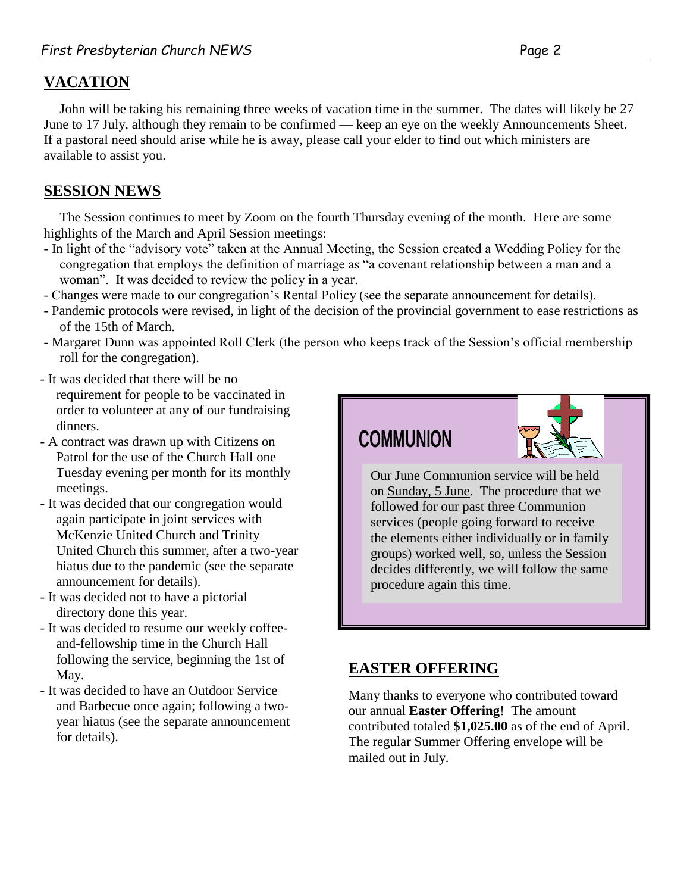## **VACATION**

John will be taking his remaining three weeks of vacation time in the summer. The dates will likely be 27 June to 17 July, although they remain to be confirmed — keep an eye on the weekly Announcements Sheet. If a pastoral need should arise while he is away, please call your elder to find out which ministers are available to assist you.

## **SESSION NEWS**

The Session continues to meet by Zoom on the fourth Thursday evening of the month. Here are some highlights of the March and April Session meetings:

- In light of the "advisory vote" taken at the Annual Meeting, the Session created a Wedding Policy for the congregation that employs the definition of marriage as "a covenant relationship between a man and a woman". It was decided to review the policy in a year.
- Changes were made to our congregation's Rental Policy (see the separate announcement for details).
- Pandemic protocols were revised, in light of the decision of the provincial government to ease restrictions as of the 15th of March.
- Margaret Dunn was appointed Roll Clerk (the person who keeps track of the Session's official membership roll for the congregation).
- It was decided that there will be no requirement for people to be vaccinated in order to volunteer at any of our fundraising dinners.
- A contract was drawn up with Citizens on Patrol for the use of the Church Hall one Tuesday evening per month for its monthly meetings.
- It was decided that our congregation would again participate in joint services with McKenzie United Church and Trinity United Church this summer, after a two-year hiatus due to the pandemic (see the separate announcement for details).
- It was decided not to have a pictorial directory done this year.
- It was decided to resume our weekly coffeeand-fellowship time in the Church Hall following the service, beginning the 1st of May.
- It was decided to have an Outdoor Service and Barbecue once again; following a twoyear hiatus (see the separate announcement for details).

## **COMMUNION**



Our June Communion service will be held on Sunday, 5 June. The procedure that we followed for our past three Communion services (people going forward to receive the elements either individually or in family groups) worked well, so, unless the Session decides differently, we will follow the same procedure again this time.

## **EASTER OFFERING**

Many thanks to everyone who contributed toward our annual **Easter Offering**! The amount contributed totaled **\$1,025.00** as of the end of April. The regular Summer Offering envelope will be mailed out in July.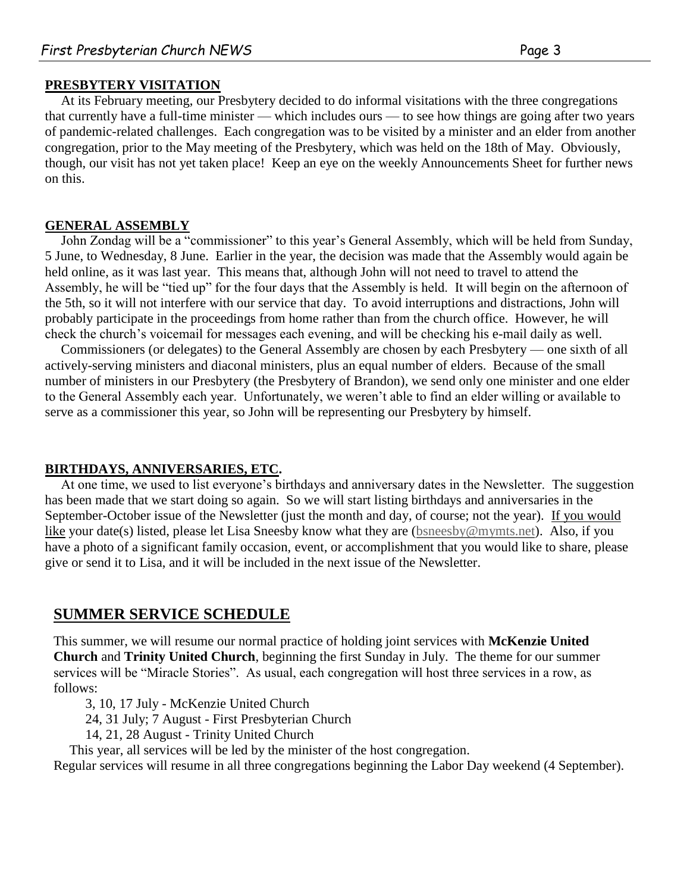#### **PRESBYTERY VISITATION**

At its February meeting, our Presbytery decided to do informal visitations with the three congregations that currently have a full-time minister — which includes ours — to see how things are going after two years of pandemic-related challenges. Each congregation was to be visited by a minister and an elder from another congregation, prior to the May meeting of the Presbytery, which was held on the 18th of May. Obviously, though, our visit has not yet taken place! Keep an eye on the weekly Announcements Sheet for further news on this.

#### **GENERAL ASSEMBLY**

John Zondag will be a "commissioner" to this year's General Assembly, which will be held from Sunday, 5 June, to Wednesday, 8 June. Earlier in the year, the decision was made that the Assembly would again be held online, as it was last year. This means that, although John will not need to travel to attend the Assembly, he will be "tied up" for the four days that the Assembly is held. It will begin on the afternoon of the 5th, so it will not interfere with our service that day. To avoid interruptions and distractions, John will probably participate in the proceedings from home rather than from the church office. However, he will check the church's voicemail for messages each evening, and will be checking his e-mail daily as well.

Commissioners (or delegates) to the General Assembly are chosen by each Presbytery — one sixth of all actively-serving ministers and diaconal ministers, plus an equal number of elders. Because of the small number of ministers in our Presbytery (the Presbytery of Brandon), we send only one minister and one elder to the General Assembly each year. Unfortunately, we weren't able to find an elder willing or available to serve as a commissioner this year, so John will be representing our Presbytery by himself.

#### **BIRTHDAYS, ANNIVERSARIES, ETC.**

have a photo of a significant family occasion, event, or accomplishment that you would like to share, please At one time, we used to list everyone's birthdays and anniversary dates in the Newsletter. The suggestion has been made that we start doing so again. So we will start listing birthdays and anniversaries in the September-October issue of the Newsletter (just the month and day, of course; not the year). If you would like your date(s) listed, please let Lisa Sneesby know what they are [\(bsneesby@mymts.net\)](mailto:bsneesby@mymts.net). Also, if you give or send it to Lisa, and it will be included in the next issue of the Newsletter.

#### OUNANED CEDVICE COUEDIII F **SUMMER SERVICE SCHEDULE**

This summer, we will resume our normal practice of holding joint services with McKenzie United Church and Trinity United Church, beginning the first Sunday in July. The theme for our summer services will be "Miracle Stories". As usual, each congregation will host three services in a row, as  $\mathcal{L}$  follows: follows:

3, 10, 17 July - McKenzie United Church

- 24, 31 July; 7 August First Presbyterian Church
- 14, 21, 28 August Trinity United Church

This year, all services will be led by the minister of the host congregation.

Regular services will resume in all three congregations beginning the Labor Day weekend (4 September).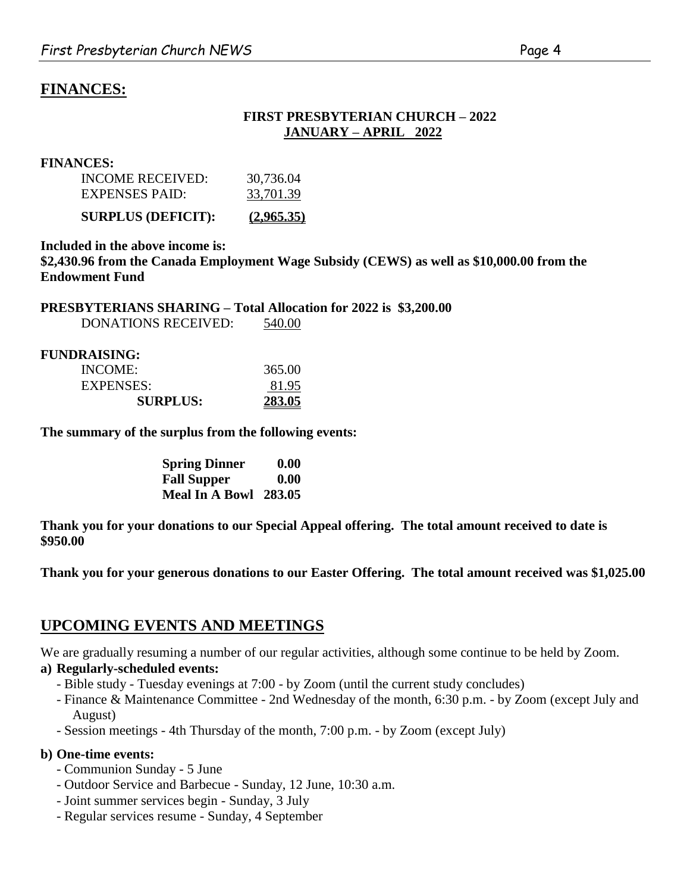## **FINANCES:**

#### **FIRST PRESBYTERIAN CHURCH – 2022 JANUARY – APRIL 2022**

#### **FINANCES:**

| <b>SURPLUS (DEFICIT):</b> | (2,965,35) |
|---------------------------|------------|
| <b>EXPENSES PAID:</b>     | 33,701.39  |
| INCOME RECEIVED:          | 30,736.04  |

**Included in the above income is: \$2,430.96 from the Canada Employment Wage Subsidy (CEWS) as well as \$10,000.00 from the Endowment Fund**

**PRESBYTERIANS SHARING – Total Allocation for 2022 is \$3,200.00** DONATIONS RECEIVED: 540.00

| FUNDRAISING:    |        |
|-----------------|--------|
| INCOME:         | 365.00 |
| EXPENSES:       | 81.95  |
| <b>SURPLUS:</b> | 283.05 |

**The summary of the surplus from the following events:**

| <b>Spring Dinner</b>  | 0.00 |
|-----------------------|------|
| <b>Fall Supper</b>    | 0.00 |
| Meal In A Bowl 283.05 |      |

**Thank you for your donations to our Special Appeal offering. The total amount received to date is \$950.00**

**Thank you for your generous donations to our Easter Offering. The total amount received was \$1,025.00**

## **UPCOMING EVENTS AND MEETINGS**

We are gradually resuming a number of our regular activities, although some continue to be held by Zoom.

#### **a) Regularly-scheduled events:**

- Bible study Tuesday evenings at 7:00 by Zoom (until the current study concludes)
- Finance & Maintenance Committee 2nd Wednesday of the month, 6:30 p.m. by Zoom (except July and August)
- Session meetings 4th Thursday of the month, 7:00 p.m. by Zoom (except July)

#### **b) One-time events:**

- Communion Sunday 5 June
- Outdoor Service and Barbecue Sunday, 12 June, 10:30 a.m.
- Joint summer services begin Sunday, 3 July
- Regular services resume Sunday, 4 September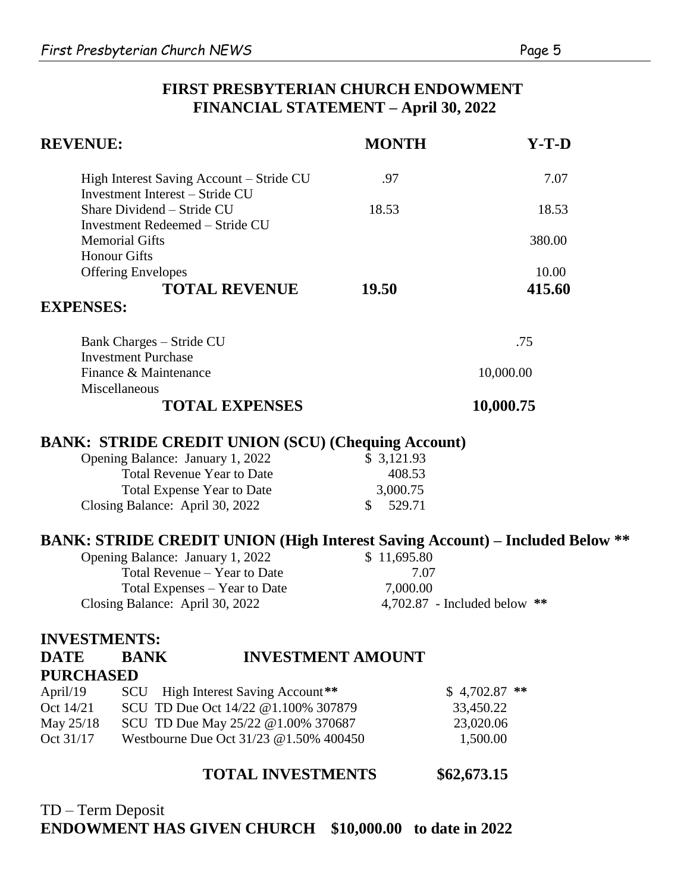## **FIRST PRESBYTERIAN CHURCH ENDOWMENT FINANCIAL STATEMENT – April 30, 2022**

| <b>REVENUE:</b>                                                                     | <b>MONTH</b>                   | $Y-T-D$          |  |
|-------------------------------------------------------------------------------------|--------------------------------|------------------|--|
| High Interest Saving Account – Stride CU<br><b>Investment Interest - Stride CU</b>  | .97                            | 7.07             |  |
| Share Dividend - Stride CU<br>Investment Redeemed - Stride CU                       | 18.53                          | 18.53            |  |
| <b>Memorial Gifts</b>                                                               |                                | 380.00           |  |
| <b>Honour Gifts</b>                                                                 |                                |                  |  |
| <b>Offering Envelopes</b>                                                           |                                | 10.00            |  |
| <b>TOTAL REVENUE</b>                                                                | 19.50                          | 415.60           |  |
| <b>EXPENSES:</b>                                                                    |                                |                  |  |
| <b>Bank Charges - Stride CU</b>                                                     |                                | .75              |  |
| <b>Investment Purchase</b>                                                          |                                |                  |  |
| Finance & Maintenance<br>Miscellaneous                                              |                                | 10,000.00        |  |
| <b>TOTAL EXPENSES</b>                                                               |                                | 10,000.75        |  |
| <b>BANK: STRIDE CREDIT UNION (SCU) (Chequing Account)</b>                           |                                |                  |  |
| Opening Balance: January 1, 2022                                                    | \$3,121.93                     |                  |  |
| <b>Total Revenue Year to Date</b>                                                   | 408.53                         |                  |  |
| <b>Total Expense Year to Date</b>                                                   | 3,000.75                       |                  |  |
| Closing Balance: April 30, 2022                                                     | \$<br>529.71                   |                  |  |
| <b>BANK: STRIDE CREDIT UNION (High Interest Saving Account) – Included Below **</b> |                                |                  |  |
| Opening Balance: January 1, 2022                                                    | \$11,695.80                    |                  |  |
| Total Revenue - Year to Date                                                        | 7.07                           |                  |  |
| Total Expenses - Year to Date                                                       | 7,000.00                       |                  |  |
| Closing Balance: April 30, 2022                                                     | 4,702.87 - Included below $**$ |                  |  |
| <b>INVESTMENTS:</b>                                                                 |                                |                  |  |
| <b>DATE</b><br><b>BANK</b>                                                          | <b>INVESTMENT AMOUNT</b>       |                  |  |
| <b>PURCHASED</b>                                                                    |                                |                  |  |
| April/19<br>High Interest Saving Account**<br>SCU                                   |                                | **<br>\$4,702.87 |  |
| SCU TD Due Oct 14/22 @1.100% 307879<br>Oct 14/21                                    |                                | 33,450.22        |  |
| May 25/18<br>SCU TD Due May 25/22 @1.00% 370687                                     |                                | 23,020.06        |  |
| Oct 31/17<br>Westbourne Due Oct 31/23 @ 1.50% 400450                                |                                | 1,500.00         |  |

## **TOTAL INVESTMENTS \$62,673.15**

## TD – Term Deposit **ENDOWMENT HAS GIVEN CHURCH \$10,000.00 to date in 2022**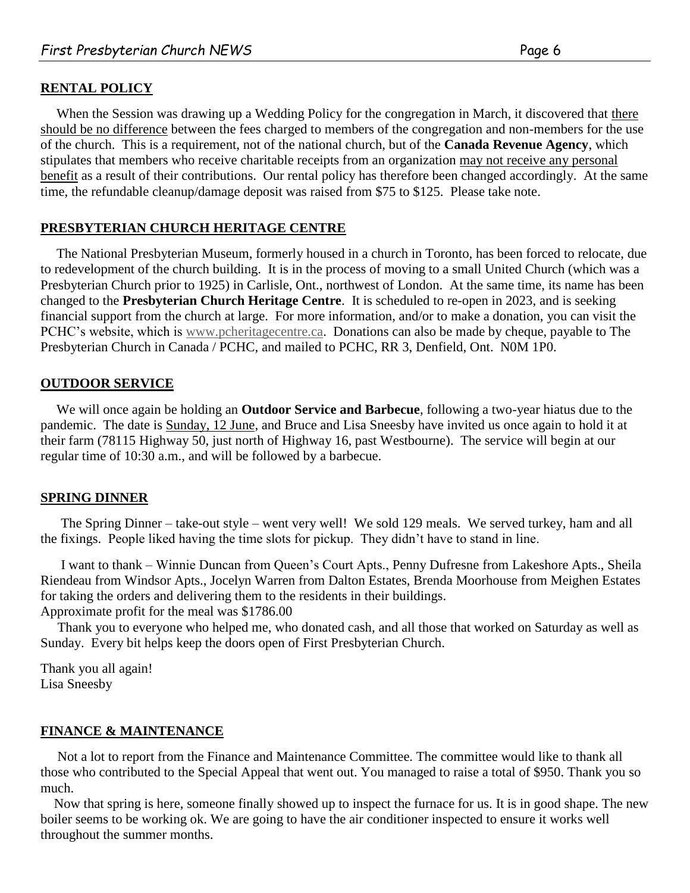#### **RENTAL POLICY**

When the Session was drawing up a Wedding Policy for the congregation in March, it discovered that there should be no difference between the fees charged to members of the congregation and non-members for the use of the church. This is a requirement, not of the national church, but of the **Canada Revenue Agency**, which stipulates that members who receive charitable receipts from an organization may not receive any personal benefit as a result of their contributions. Our rental policy has therefore been changed accordingly. At the same time, the refundable cleanup/damage deposit was raised from \$75 to \$125. Please take note.

#### **PRESBYTERIAN CHURCH HERITAGE CENTRE**

The National Presbyterian Museum, formerly housed in a church in Toronto, has been forced to relocate, due to redevelopment of the church building. It is in the process of moving to a small United Church (which was a Presbyterian Church prior to 1925) in Carlisle, Ont., northwest of London. At the same time, its name has been changed to the **Presbyterian Church Heritage Centre**. It is scheduled to re-open in 2023, and is seeking financial support from the church at large. For more information, and/or to make a donation, you can visit the PCHC's website, which is [www.pcheritagecentre.ca.](http://www.pcheritagecentre.ca/) Donations can also be made by cheque, payable to The Presbyterian Church in Canada / PCHC, and mailed to PCHC, RR 3, Denfield, Ont. N0M 1P0.

#### **OUTDOOR SERVICE**

We will once again be holding an **Outdoor Service and Barbecue**, following a two-year hiatus due to the pandemic. The date is Sunday, 12 June, and Bruce and Lisa Sneesby have invited us once again to hold it at their farm (78115 Highway 50, just north of Highway 16, past Westbourne). The service will begin at our regular time of 10:30 a.m., and will be followed by a barbecue.

#### **SPRING DINNER**

 The Spring Dinner – take-out style – went very well! We sold 129 meals. We served turkey, ham and all the fixings. People liked having the time slots for pickup. They didn't have to stand in line.

 I want to thank – Winnie Duncan from Queen's Court Apts., Penny Dufresne from Lakeshore Apts., Sheila Riendeau from Windsor Apts., Jocelyn Warren from Dalton Estates, Brenda Moorhouse from Meighen Estates for taking the orders and delivering them to the residents in their buildings. Approximate profit for the meal was \$1786.00

 Thank you to everyone who helped me, who donated cash, and all those that worked on Saturday as well as Sunday. Every bit helps keep the doors open of First Presbyterian Church.

Thank you all again! Lisa Sneesby

#### **FINANCE & MAINTENANCE**

 Not a lot to report from the Finance and Maintenance Committee. The committee would like to thank all those who contributed to the Special Appeal that went out. You managed to raise a total of \$950. Thank you so much.

 Now that spring is here, someone finally showed up to inspect the furnace for us. It is in good shape. The new boiler seems to be working ok. We are going to have the air conditioner inspected to ensure it works well throughout the summer months.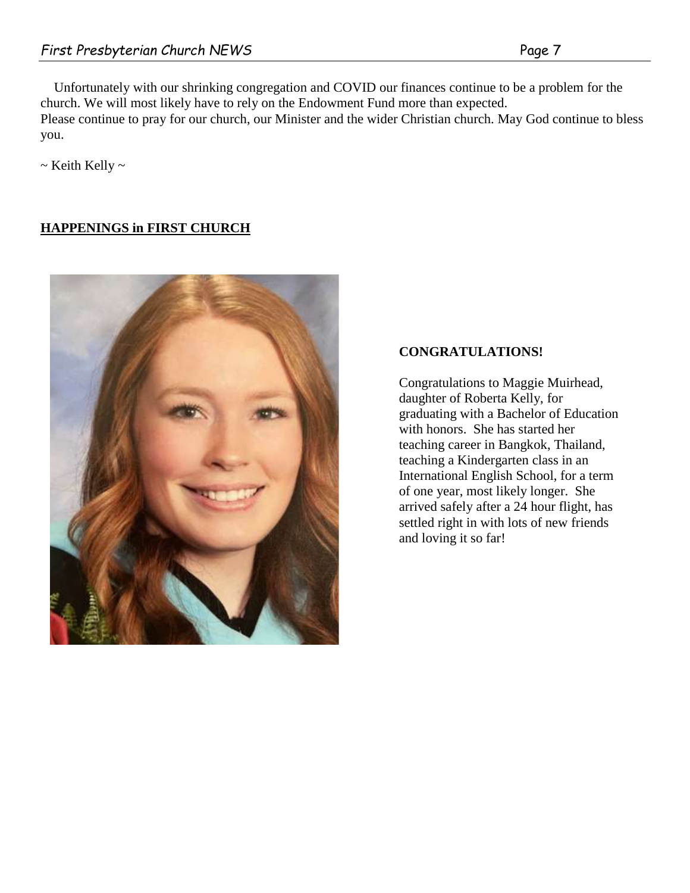Unfortunately with our shrinking congregation and COVID our finances continue to be a problem for the church. We will most likely have to rely on the Endowment Fund more than expected. Please continue to pray for our church, our Minister and the wider Christian church. May God continue to bless you.

 $\sim$  Keith Kelly  $\sim$ 

#### **HAPPENINGS in FIRST CHURCH**



### **CONGRATULATIONS!**

Congratulations to Maggie Muirhead, daughter of Roberta Kelly, for graduating with a Bachelor of Education with honors. She has started her teaching career in Bangkok, Thailand, teaching a Kindergarten class in an International English School, for a term of one year, most likely longer. She arrived safely after a 24 hour flight, has settled right in with lots of new friends and loving it so far!